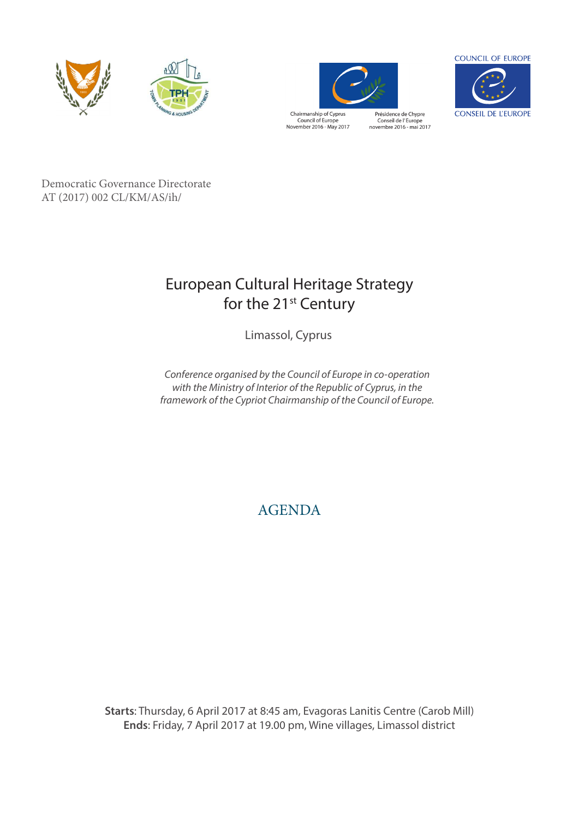



Chairmanship of Cyprus<br>Council of Europe<br>November 2016 - May 2017

Présidence de Chypre<br>Conseil de l'Europe<br>novembre 2016 - mai 2017



Democratic Governance Directorate AT  $(2017)$  002 CL/KM/AS/ih/ III (2017) OUR OR EUROPEAN TO  $\text{III}$ 

#### European Cultural Heritage Strategy for the 21<sup>st</sup> Century capable of meeting the challenges facing cultural heritage in terms of citizen participation capable of meeting the challenges facing cultural heritage in terms of citizen participations of citizen participations of citizen participations of citizen participations of citizen participations of citizen participation and equiponental conditions. On the second day of the second day of the second day of the second day of the con (7 April), the participants will be transported to  $\mathcal{A}$  be transported to  $\mathcal{A}$

Limassol, Cyprus

*Conference organised by the Council of Europe in co-operation with the Ministry of Interior of the Republic of Cyprus, in the framework of the Cypriot Chairmanship of the Council of Europe.*

# AGENDA

**Starts**: Thursday, 6 April 2017 at 8:45 am, Evagoras Lanitis Centre (Carob Mill) **Ends**: Friday, 7 April 2017 at 19.00 pm, Wine villages, Limassol district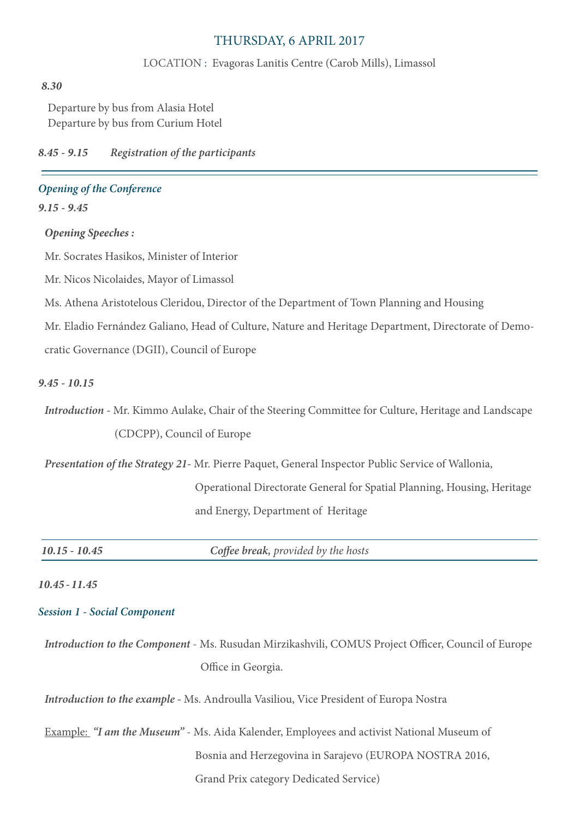## THURSDAY, 6 APRIL 2017

#### LOCATION : Evagoras Lanitis Centre (Carob Mills), Limassol

#### *8.30*

Departure by bus from Alasia Hotel Departure by bus from Curium Hotel

*8.45 - 9.15 Registration of the participants*

### *Opening of the Conference*

*9.15 - 9.45*

#### *Opening Speeches :*

Mr. Socrates Hasikos, Minister of Interior

Mr. Nicos Nicolaides, Mayor of Limassol

Ms. Athena Aristotelous Cleridou, Director of the Department of Town Planning and Housing

Mr. Eladio Fernández Galiano, Head of Culture, Nature and Heritage Department, Directorate of Demo-

cratic Governance (DGII), Council of Europe

#### *9.45 - 10.15*

*Introduction -* Mr. Kimmo Aulake, Chair of the Steering Committee for Culture, Heritage and Landscape (CDCPP), Council of Europe

*Presentation of the Strategy 21-* Mr. Pierre Paquet, General Inspector Public Service of Wallonia,

 Operational Directorate General for Spatial Planning, Housing, Heritage and Energy, Department of Heritage

*10.15 - 10.45 Coffee break, provided by the hosts*

#### *10.45 - 11.45*

#### *Session 1 - Social Component*

*Introduction to the Component* - Ms. Rusudan Mirzikashvili, COMUS Project Officer, Council of Europe Office in Georgia.

*Introduction to the example -* Ms. Androulla Vasiliou, Vice President of Europa Nostra

Example: *"I am the Museum"* - Ms. Aida Kalender, Employees and activist National Museum of Bosnia and Herzegovina in Sarajevo (EUROPA NOSTRA 2016, Grand Prix category Dedicated Service)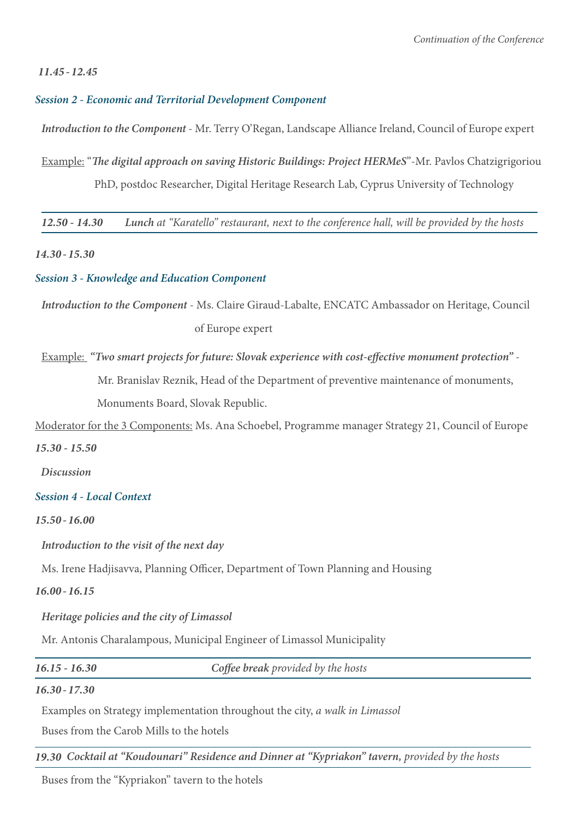#### *11.45 - 12.45*

#### *Session 2 - Economic and Territorial Development Component*

*Introduction to the Component* - Mr. Terry O'Regan, Landscape Alliance Ireland, Council of Europe expert

Example: "*The digital approach on saving Historic Buildings: Project HERMeS*"-Mr. Pavlos Chatzigrigoriou

PhD, postdoc Researcher, Digital Heritage Research Lab, Cyprus University of Technology

*12.50 - 14.30 Lunch at "Karatello" restaurant, next to the conference hall, will be provided by the hosts*

*14.30 - 15.30* 

*Session 3 - Knowledge and Education Component*

*Introduction to the Component* - Ms. Claire Giraud-Labalte, ENCATC Ambassador on Heritage, Council of Europe expert

Example: *"Two smart projects for future: Slovak experience with cost-effective monument protection"* -

Mr. Branislav Reznik, Head of the Department of preventive maintenance of monuments,

Monuments Board, Slovak Republic.

Moderator for the 3 Components: Ms. Ana Schoebel, Programme manager Strategy 21, Council of Europe

*15.30 - 15.50*

*Discussion*

#### *Session 4 - Local Context*

*15.50 - 16.00* 

*Introduction to the visit of the next day*

Ms. Irene Hadjisavva, Planning Officer, Department of Town Planning and Housing

*16.00 - 16.15* 

*Heritage policies and the city of Limassol*

Mr. Antonis Charalampous, Municipal Engineer of Limassol Municipality

*16.15 - 16.30 Coffee break provided by the hosts*

#### *16.30 - 17.30*

Examples on Strategy implementation throughout the city, *a walk in Limassol*

Buses from the Carob Mills to the hotels

19.30 Cocktail at "Koudounari" Residence and Dinner at "Kypriakon" tavern, provided by the hosts

Buses from the "Kypriakon" tavern to the hotels